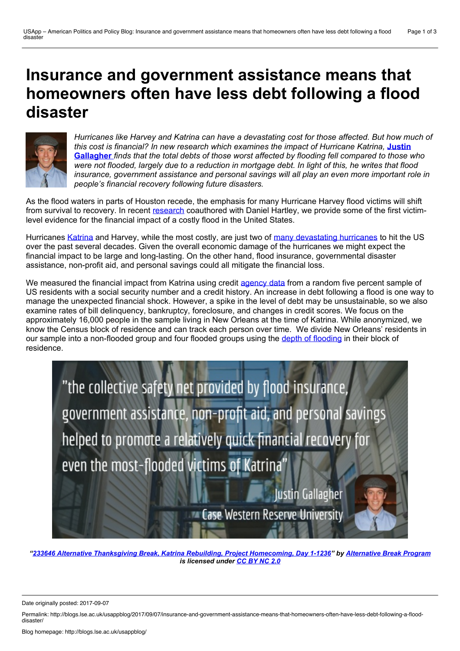# **Insurance and government assistance means that homeowners often have less debt following aflood disaster**



*Hurricanes like Harvey and Katrina can have a devastating cost for those affected. But how much of this cost is financial? In new research which examines the impact [ofHurricane](http://wp.me/p3I2YF-6WK#Author) Katrina,* **Justin Gallagher** *finds that the total debts of those worst affected by flooding fell compared to those who* were not flooded, largely due to a reduction in mortgage debt. In light of this, he writes that flood *insurance, government assistance and personal savings will all play an even more important role in people's financial recovery following future disasters.*

As the flood waters in parts of Houston recede, the emphasis for many Hurricane Harvey flood victims will shift from survival to recovery. In recent [research](https://www.aeaweb.org/articles?id=10.1257/pol.20140273) coauthored with Daniel Hartley, we provide some of the first victimlevel evidence for the financial impact of a costly flood in the United States.

Hurricanes [Katrina](https://www.livescience.com/22522-hurricane-katrina-facts.html) and Harvey, while the most costly, are just two of many [devastating](http://create.usc.edu/sites/default/files/publications/policytenureundertheu.s.nationalfloodinsuranceprogramnf_0.pdf) hurricanes to hit the US over the past several decades. Given the overall economic damage of the hurricanes we might expect the financial impact to be large and long-lasting. On the other hand, flood insurance, governmental disaster assistance, non-profit aid, and personal savings could all mitigate the financial loss.

We measured the financial impact from Katrina using credit [agency](https://www.newyorkfed.org/research/staff_reports/sr479.html) data from a random five percent sample of US residents with a social security number and a credit history. An increase in debt following a flood is one way to manage the unexpected financial shock. However, a spike in the level of debt may be unsustainable, so we also examine rates of bill delinquency, bankruptcy, foreclosure, and changes in credit scores. We focus on the approximately 16,000 people in the sample living in New Orleans at the time of Katrina. While anonymized, we know the Census block of residence and can track each person over time. We divide New Orleans' residents in our sample into a non-flooded group and four flooded groups using the depth of [flooding](http://www.noaanews.noaa.gov/stories2005/s2503.htm) in their block of residence.



*"233646 Alternative Thanksgiving Break, Katrina Rebuilding, Project [Homecoming,](https://www.flickr.com/photos/jmu-abp/22984475344/) Day 1-1236" by [Alternative](https://www.flickr.com/photos/jmu-abp/) Break Program is licensed under [CC](https://creativecommons.org/licenses/by-nc/2.0/) BY NC 2.0*

Date originally posted: 2017-09-07

Permalink: http://blogs.lse.ac.uk/usappblog/2017/09/07/insurance-and-government-assistance-means-that-homeowners-often-have-less-debt-following-a-flood-<br>disaster/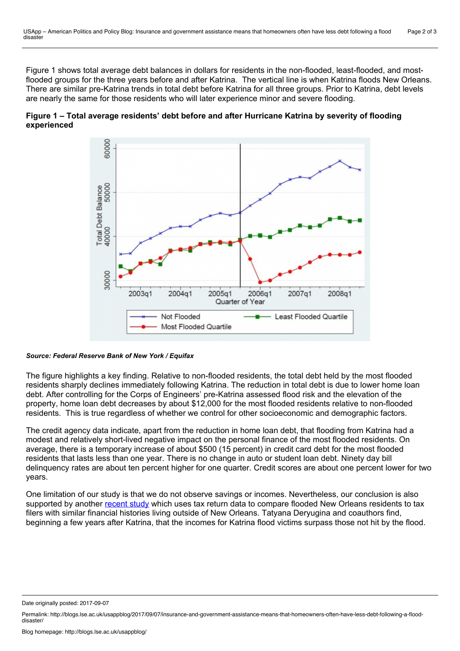Figure 1 shows total average debt balances in dollars for residents in the non-flooded, least-flooded, and mostflooded groups for the three years before and after Katrina. The vertical line is when Katrina floods New Orleans. There are similar pre-Katrina trends in total debt before Katrina for all three groups. Prior to Katrina, debt levels are nearly the same for those residents who will later experience minor and severe flooding.





#### *Source: Federal Reserve Bank of New York / Equifax*

The figure highlights a key finding. Relative to non-flooded residents, the total debt held by the most flooded residents sharply declines immediately following Katrina. The reduction in total debt is due to lower home loan debt. After controlling for the Corps of Engineers' pre-Katrina assessed flood risk and the elevation of the property, home loan debt decreases by about \$12,000 for the most flooded residents relative to non-flooded residents. This is true regardless of whether we control for other socioeconomic and demographic factors.

The credit agency data indicate, apart from the reduction in home loan debt, that flooding from Katrina had a modest and relatively short-lived negative impact on the personal finance of the most flooded residents. On average, there is a temporary increase of about \$500 (15 percent) in credit card debt for the most flooded residents that lasts less than one year. There is no change in auto or student loan debt. Ninety day bill delinquency rates are about ten percent higher for one quarter. Credit scores are about one percent lower for two years.

One limitation of our study is that we do not observe savings or incomes. Nevertheless, our conclusion is also supported by another [recent](http://deryugina.com/2017-05-11-hurricane_katrina_draft.pdf) study which uses tax return data to compare flooded New Orleans residents to tax filers with similar financial histories living outside of New Orleans. Tatyana Deryugina and coauthors find, beginning a few years after Katrina, that the incomes for Katrina flood victims surpass those not hit by the flood.

Date originally posted: 2017-09-07

Permalink: http://blogs.lse.ac.uk/usappblog/2017/09/07/insurance-and-government-assistance-means-that-homeowners-often-have-less-debt-following-a-flood-<br>disaster/